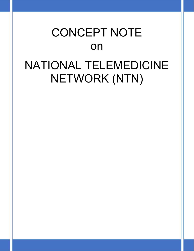# CONCEPT NOTE on NATIONAL TELEMEDICINE NETWORK (NTN)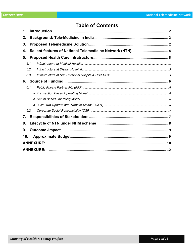# **Table of Contents**

| 1.  |      |  |  |  |
|-----|------|--|--|--|
| 2.  |      |  |  |  |
| 3.  |      |  |  |  |
| 4.  |      |  |  |  |
| 5.  |      |  |  |  |
|     | 5.1. |  |  |  |
|     | 5.2. |  |  |  |
|     | 5.3. |  |  |  |
| 6.  |      |  |  |  |
|     | 6.1. |  |  |  |
|     |      |  |  |  |
|     |      |  |  |  |
|     |      |  |  |  |
|     | 6.2. |  |  |  |
| 7.  |      |  |  |  |
| 8.  |      |  |  |  |
| 9.  |      |  |  |  |
| 10. |      |  |  |  |
|     |      |  |  |  |
|     |      |  |  |  |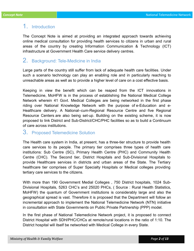## 1. Introduction

The Concept Note is aimed at providing an integrated approach towards achieving online medical consultation for providing health services to citizens in urban and rural areas of the country by creating Information Communication & Technology (ICT) infrastructure at Government Health Care service delivery centres.

# 2. Background: Tele-Medicine in India

Large parts of the country still suffer from lack of adequate health care facilities. Under such a scenario technology can play an enabling role and in particularly reaching to unreachable areas as well as to provide a higher level of care on a cost effective basis.

Keeping in view the benefit which can be reaped from the ICT innovations in Telemedicine, MoHFW is in the process of establishing the National Medical College Network wherein 41 Govt. Medical Colleges are being networked in the first phase riding over National Knowledge Network with the purpose of e-Education and e-Healthcare delivery. A National–cum-Regional Resource Centre and five Regional Resource Centers are also being set-up. Building on the existing scheme, it is now proposed to link District and Sub-District/CHC/PHC facilities so as to build a Continuum of care across institutions.

## 3. Proposed Telemedicine Solution

The Health care system in India, at present, has a three-tier structure to provide health care services to its people. The primary tier comprises three types of health care institutions: Sub Centre (SC), Primary Health Centre (PHC) and Community Health Centre (CHC). The Second tier, District Hospitals and Sub-Divisional Hospitals to provide Healthcare services in districts and urban areas of the State. The Tertiary healthcare tier comprises of Super Specialty Hospitals or Medical colleges providing tertiary care services to the citizens.

With more than 190 Government Medial Colleges , 750 District hospitals, 1024 Sub-Divisional Hospitals, 5263 CHC's and 25020 PHCs, ( Source : Rural Health Statistics, MoHFW) the quantum of Government institutions is considerably large and also the geographical spread is vast. Therefore it is proposed that the Department will follow an incremental approach to implement the National Telemedicine Network (NTN) initiative in consultation with State Governments on Public Private Partnership (PPP) model.

In the first phase of National Telemedicine Network project, it is proposed to connect District Hospital with SDH/PHC/CHCs at remote/rural locations in the ratio of 1:10. The District hospital will itself be networked with Medical College in every State.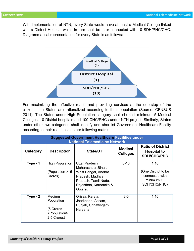With implementation of NTN, every State would have at least a Medical College linked with a District Hospital which in turn shall be inter connected with 10 SDH/PHC/CHC. Diagrammatical representation for every State is as follows:



For maximizing the effective reach and providing services at the doorstep of the citizens, the States are rationalized according to their population (Source: CENSUS 2011). The States under High Population category shall shortlist minimum 5 Medical Colleges, 10 District hospitals and 100 CHC/PHCs under NTN project. Similarly, States under other two categories shall identify and shortlist Government Healthcare Facility according to their readiness as per following matrix:

| <b>Suggested Government Healthcare Facilities under</b><br><b>National Telemedicine Network</b> |                                                                                |                                                                                                                                              |                                   |                                                                             |  |
|-------------------------------------------------------------------------------------------------|--------------------------------------------------------------------------------|----------------------------------------------------------------------------------------------------------------------------------------------|-----------------------------------|-----------------------------------------------------------------------------|--|
| Category                                                                                        | <b>Description</b>                                                             | <b>State/UT</b>                                                                                                                              | <b>Medical</b><br><b>Colleges</b> | <b>Ratio of District</b><br><b>Hospital to</b><br><b>SDH/CHC/PHC</b>        |  |
| Type - 1                                                                                        | <b>High Population</b><br>(Population > 5<br>Crores)                           | Uttar Pradesh,<br>Maharashtra, Bihar,<br>West Bengal, Andhra<br>Pradesh, Madhya<br>Pradesh, Tamil Nadu,<br>Rajasthan, Karnataka &<br>Gujarat | $5 - 10$                          | 1:10<br>(One District to be<br>connected with<br>minimum 10<br>SDH/CHC/PHC) |  |
| $Type - 2$                                                                                      | Medium<br>Population<br>(5 Crores<br><population><br/>2.5 Crores)</population> | Orissa, Kerala,<br>Jharkhand, Assam,<br>Punjab, Chhattisgarh,<br>Haryana                                                                     | $3-5$                             | 1:10                                                                        |  |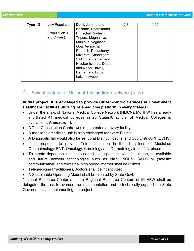| Type - 3 | Low Population | Delhi, Jammu and       | $2 - 3$ | 1:10 |
|----------|----------------|------------------------|---------|------|
|          |                | Kashmir, Uttarakhand,  |         |      |
|          | (Population <  | Himachal Pradesh,      |         |      |
|          | 2.5 Crores)    | Tripura, Meghalaya,    |         |      |
|          |                | Manipur, Nagaland,     |         |      |
|          |                | Goa, Arunachal         |         |      |
|          |                | Pradesh, Puducherry,   |         |      |
|          |                | Mizoram, Chandigarh,   |         |      |
|          |                | Sikkim, Andaman and    |         |      |
|          |                | Nicobar Islands, Dadra |         |      |
|          |                | and Nagar Haveli,      |         |      |
|          |                | Daman and Diu &        |         |      |
|          |                | Lakshadweep            |         |      |
|          |                |                        |         |      |

## 4. Salient features of National Telemedicine Network (NTN)

#### In this project, it is envisaged to provide Citizen-centric Services at Government Healthcare Facilities utilizing Telemedicine platform in every State/UT.

- Under the ambit of National Medical College Network (NMCN), MoHFW has already shortlisted 41 medical colleges in 25 States/UTs. List of Medical Colleges is available at Annexure: II.
- A Tele-Consultation Centre would be created at every facility.
- A mobile telemedicine unit is also envisaged for every District.
- A Diagnostic lab would also be set up at District Hospital and Sub District/PHC/CHC.
- It is proposed to provide Tele-consultation in the disciplines of Medicine, Ophthalmology, ENT, Oncology, Cardiology and Dermatology in the first phase.
- To create dependable ubiquitous and high speed network backbone, all available and future network technologies such as NKN, NOFN, SATCOM (satellite communication) and terrestrial high speed internet shall be utilized.
- Telemedicine Practitioners/Doctors shall be incentivized.
- A Sustainable Operating Model shall be created by State Govt.

National Resource Center and the Regional Resource Centers of MoHFW shall be delegated the task to oversee the implementation and to technically support the State Governments in implementing the project.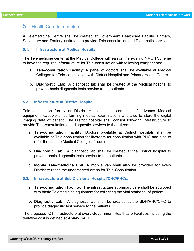# 5. Health Care Infratructure

A Telemedicine Centre shall be created at Government Healthcare Facility (Primary, Secondary and Tertiary institutes) to provide Tele-consultation and Diagnostic services.

#### 5.1. Infrastructure at Medical Hospital

The Telemedicine center at the Medical College will lean on the existing NMCN Scheme to have the required infrastructure for Tele-consultation with following components:

- a. Tele-consultation Facility: A panel of doctors shall be available at Medical Colleges for Tele-consultation with District Hospital and Primary Health Centre.
- b. Diagnostic Lab: A diagnostic lab shall be created at the Medical hospital to provide basic diagnostic tests service to the patients.

#### 5.2. Infrastructure at District Hospital

Tele-consultation facility at District Hospital shall comprise of advance Medical equipment, capable of performing medical examinations and also to store the digital imaging data of patient. The District hospital shall consist following Infrastructure to provide Tele-consultation and diagnostic services to the citizen:

- a. Tele-consultation Facility: Doctors available at District hospitals shall be available at Tele-consultation facility/room for consultation with PHC and also to refer the case to Medical Colleges if required.
- **b. Diagnostic Lab:** A diagnostic lab shall be created at the District hospital to provide basic diagnostic tests service to the patients.
- c. Mobile Tele-medicine Unit: A mobile van shall also be provided for every District to reach the underserved areas for Tele-Consultation.

#### 5.3. Infrastructure at Sub Divisional Hospital/CHC/PHCs:

- a. Tele-consultation Facility: The infrastructure at primary care shall be equipped with basic Telemedicine equipment for collecting the vital statistical of patient.
- b. Diagnostic Lab: A diagnostic lab shall be created at the SDH/PHC/CHC to provide diagnostic test service to the patients.

The proposed ICT infrastructure at every Government Healthcare Facilities including the tentative cost is defined at Annexure: I.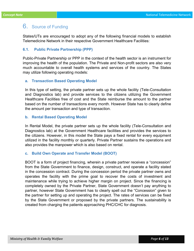## 6. Source of Funding

States/UTs are encouraged to adopt any of the following financial models to establish Telemedicine Network in their respective Government Healthcare Facilities:

#### 6.1. Public Private Partnership (PPP)

Public-Private Partnership or PPP in the context of the health sector is an instrument for improving the health of the population. The Private and Non-profit sectors are also very much accountable to overall health systems and services of the country. The States may utilize following operating models:

#### a. Transaction Based Operating Model

In this type of setting, the private partner sets up the whole facility (Tele-Consultation and Diagnostics lab) and provide services to the citizens utilizing the Government Healthcare Facilities free of cost and the State reimburse the amount to the partner based on the number of transactions every month. However State has to clearly define the amount per transaction and type of transaction.

#### b. Rental Based Operating Model

In Rental Model, the private partner sets up the whole facility (Tele-Consultation and Diagnostics lab) at the Government Healthcare facilities and provides the services to the citizens. However, in this model the State pays a fixed rental for every equipment utilized in the facility monthly or quarterly. Private Partner sustains the operations and also provides the manpower which is also based on rental.

#### c. Build Own Operate and Transfer Model (BOOT)

BOOT is a form of project financing, wherein a private partner receives a "concession" from the State Government to finance, design, construct, and operate a facility stated in the concession contract. During the concession period the private partner owns and operates the facility with the prime goal to recover the costs of investment and maintenance while trying to achieve higher margin on project. Since the financing is completely owned by the Private Partner, State Government doesn't pay anything to partner, however State Government has to clearly spell out the "Concession" given to the partner for setting up and operating the project. The rates of services can be fixed by the State Government or proposed by the private partners. The sustainability is created from charging the patients approaching PHC/CHC for diagnosis.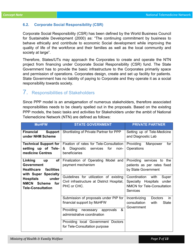#### 6.2. Corporate Social Responsibility (CSR)

Corporate Social Responsibility (CSR) has been defined by the World Business Council for Sustainable Development (2000) as: "The continuing commitment by business to behave ethically and contribute to economic Social development while improving the quality of life of the workforce and their families as well as the local community and society at large".

Therefore, States/UTs may approach the Corporates to create and operate the NTN project from financing under Corporate Social Responsibility (CSR) fund. The State Government has to provide the basic infrastructure to the Corporates primarily space and permission of operations. Corporates design, create and set up facility for patients. State Government has no liability of paying to Corporate and they operate it as a social responsibility towards society.

## 7. Responsibilities of Stakeholders

Since PPP model is an amalgamation of numerous stakeholders, therefore associated responsibilities needs to be clearly spelled out in the proposals. Based on the existing PPP models, the basic tasks and activities for Stakeholders under the ambit of National Telemedicine Network (NTN) are defined as follows:

| <b>MoHFW</b>                                                                                        | <b>STATE GOVERNMENT</b>                                                                                                                  | <b>PRIVATE PARTNER</b>                                                                                                |
|-----------------------------------------------------------------------------------------------------|------------------------------------------------------------------------------------------------------------------------------------------|-----------------------------------------------------------------------------------------------------------------------|
| <b>Financial</b><br>Support  <br>under NHM Scheme                                                   | Shortlisting of Private Partner for PPP                                                                                                  | Setting up of Tele-Medicine<br>and Diagnostic Lab                                                                     |
| <b>Technical Support for</b><br>setting up of Tele-<br>medicine Centres                             | Fixation of rates for Tele-Consultation<br>Diagnostic services<br>for<br>&<br>non-<br>beneficiaries                                      | for<br>Manpower<br>Providing<br>Operations                                                                            |
| Linking<br>οf<br>up<br><b>Government</b><br><b>Healthcare</b><br>facilities<br>with Super Specialty | Finalization of Operating Model and<br>payment mechanism                                                                                 | Providing services to the<br>patients as per rates fixed<br>by State Government                                       |
| under<br><b>Hospitals</b><br><b>NMCN Scheme</b><br>for<br><b>Tele-Consultation</b>                  | Guidelines for utilization of existing<br>Civil infrastructure at District Hospital,<br>PHC or CHC.                                      | Coordination<br>with<br>Super<br>Specialty Hospitals<br>under<br><b>NMCN</b> for Tele-Consultation<br><b>Services</b> |
|                                                                                                     | Submission of proposals under PIP for<br>financial support by MoHFW<br>&<br>Providing necessary approvals<br>administrative coordination | Incentivizing<br><b>Doctors</b><br>in<br>consultation<br>with<br><b>State</b><br>Government                           |
|                                                                                                     | Providing local Government Doctors<br>for Tele-Consultation purpose                                                                      |                                                                                                                       |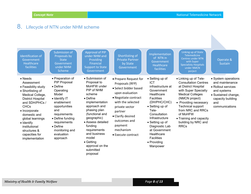$\mathbf{r}$ 

# 8. Lifecycle of NTN under NHM scheme

| Identification of<br>Government<br><b>Healthcare</b><br>facilities                                                                                                                                                                                                                                 | <b>Submission of</b><br>Proposals by<br><b>State</b><br>Government<br>under NHM<br><b>Scheme</b>                                                                                                                                                             | Approval of PIP<br>under NHM and<br>Providing<br><b>Financial</b><br><b>Support to State</b><br>Government                                                                                                                                                                                                              | Shortlisting of<br><b>Private Partner</b><br>by State<br>Government                                                                                                                                                                               | Implementation<br>of NTN in<br>Government<br><b>Healthcare</b><br>facilities                                                                                                                                                                                                                   | Linking up of State<br><b>Telemedicine</b><br>Centres under NTN<br>with Super<br><b>Specialisty Hospitals</b><br>under NMCN<br>porject                                                                                                                                                                   | Operate &<br>Sustain                                                                                                                             |
|----------------------------------------------------------------------------------------------------------------------------------------------------------------------------------------------------------------------------------------------------------------------------------------------------|--------------------------------------------------------------------------------------------------------------------------------------------------------------------------------------------------------------------------------------------------------------|-------------------------------------------------------------------------------------------------------------------------------------------------------------------------------------------------------------------------------------------------------------------------------------------------------------------------|---------------------------------------------------------------------------------------------------------------------------------------------------------------------------------------------------------------------------------------------------|------------------------------------------------------------------------------------------------------------------------------------------------------------------------------------------------------------------------------------------------------------------------------------------------|----------------------------------------------------------------------------------------------------------------------------------------------------------------------------------------------------------------------------------------------------------------------------------------------------------|--------------------------------------------------------------------------------------------------------------------------------------------------|
| • Needs<br>Assessment<br>• Feasibility study<br>• Shortlisting of<br>Medical College,<br><b>District Hospital</b><br>and SDH/PHCs /<br><b>CHCs</b><br>• Incorporate<br>domestic and<br>global learnings<br>$\bullet$ Identify<br>institutional<br>structures &<br>capacities for<br>implementation | • Preparation of<br><b>PIP Proposal</b><br>$\bullet$ Define<br>Operating<br>Model<br>• Identify IT<br>enablement<br>opportunities<br>and<br>requirements<br>• Define funding<br>requirements<br>$\bullet$ Define<br>monitoring and<br>evaluation<br>approach | • Submission of<br>Proposal to<br>MoHFW under<br>PIP of NHM<br>scheme<br>$\bullet$ Define<br>implementation<br>approach and<br>phasing plan<br>(functional and<br>geographic)<br>• Assess detailed<br>funding<br>requirements<br>and business<br>model<br>$\bullet$ Getting<br>approval on the<br>submitted<br>proposal | • Prepare Request for<br>Proposals (RFP)<br>• Select bidder based<br>upon evaluation<br>• Negotiate contract<br>with the selected<br>private sector<br>partner<br>• Clarify desired<br>outcomes and<br>payment<br>mechanism<br>• Execute contract | • Setting up of<br>ICT<br>infrastructure at<br>Government<br>Healthcare<br><b>Facilities</b><br>(DH/PHC/CHC)<br>• Setting up of<br>Tele-<br>Consultation<br>Infrastructure<br>• Setting up of<br>Diagnostic Lab<br>at Government<br>Healthcare<br><b>Facilities</b><br>• Providing<br>Manpower | • Linking up of Tele-<br><b>Consultation Centres</b><br>at District Hospital<br>with Super Specialty<br><b>Medical Colleges</b><br>(NMCN project)<br>• Providing necessary<br><b>Technical support</b><br>from NRC and RRCs<br>of MoHFW<br>• Training and capacity<br>building by NRC and<br><b>RRCs</b> | • System operations<br>and maintenance<br>• Rollout services<br>and systems<br>• Sustained change,<br>capacity building<br>and<br>communications |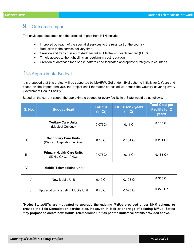# 9. Outcome /Impact

The envisaged outcomes and the areas of impact from NTN include:

- Improved outreach of the specialist services to the rural part of the country
- Reduction in the service delivery time
- Creation and transmission of Aadhaar linked Electronic Health Record (EHR)
- Timely access to the right clinician resulting in cost reduction
- Creation of database for disease patterns and facilitates appropriate strategies to counter it.

# 10.Approximate Budget

It is proposed that this project will be supported by MoHFW, GoI under NHM scheme initially for 2 Years and based on the impact analysis, the project shall thereafter be scaled up across the Country covering every Government Health Facility.

Based on the current scope, the approximate budget for every facility in a State would be as follows:

| <b>S. No.</b> | <b>Budget Head</b>                                             | <b>CAPEX</b><br>$($ In Cr $)$ | <b>OPEX for 2 years</b><br>$($ In Cr $)$ | <b>Total Cost per</b><br><b>Facility for 2</b><br>years |
|---------------|----------------------------------------------------------------|-------------------------------|------------------------------------------|---------------------------------------------------------|
| T.            | <b>Tertiary Care Units</b><br>(Medical College)                | 0.075Cr                       | $0.11$ Cr                                | 0.185 Cr                                                |
| Ш.            | <b>Secondary Care Units</b><br>(District Hospitals) Facilities | 0.10 Cr                       | $0.184$ Cr                               | 0.284 Cr                                                |
| Ш.            | <b>Primary Health Care Units</b><br><b>SDHs/ CHCs/ PHCs</b>    | 0.075Cr                       | 0.11 Cr                                  | $0.185$ Cr                                              |
| IV.           | <b>Mobile Telemedicine Unit *</b>                              |                               |                                          |                                                         |
| a)            | New Mobile Unit                                                | 0.40 Cr                       | 0.108 Cr                                 | $0.508$ Cr                                              |
| b)            | Upgradation of existing Mobile Unit                            | $0.20$ Cr                     | 0.028 Cr                                 | 0.228 Cr                                                |

\*Note: States/UTs are motivated to upgrade the existing MMUs provided under NHM scheme to provide the Tele-Consultation service also. However, in lack or shortage of existing MMUs, States may propose to create new Mobile Telemedicine Unit as per the indicative details provided above.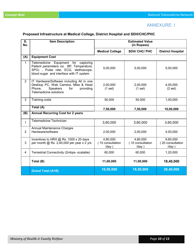## ANNEXURE: I

## Proposed Infrastructure at Medical College, District Hospital and SDH/CHC/PHC

| S.<br>No.      | <b>Item Description</b>                                                                                                                                                          | <b>Estimated Value</b><br>(in Rupees) |                                       |                                       |  |
|----------------|----------------------------------------------------------------------------------------------------------------------------------------------------------------------------------|---------------------------------------|---------------------------------------|---------------------------------------|--|
|                |                                                                                                                                                                                  | <b>Medical College</b>                | <b>SDH/ CHC/ PHC</b>                  | <b>District Hospital</b>              |  |
| (A)            | <b>Equipment Cost</b>                                                                                                                                                            |                                       |                                       |                                       |  |
| 1              | Telemedicine Equipment for capturing<br>Patient parameters viz. BP, Temperature,<br>SPO <sub>2</sub> , Pulse rate, ECG, stethoscope,<br>blood sugar and interface with IT system | 5,00,000                              | 5,00,000                              | 5,00,000                              |  |
| $\overline{2}$ | IT Hardware/Software including All in one<br>Desktop PC, Web Camera, Mike & Head<br>Phone,<br><b>Speakers</b><br>for<br>providing<br>Telemedicine solutions                      | 2,00,000<br>(1 set)                   | 2,00,000<br>(1 set)                   | 4,00,000<br>(2 set)                   |  |
| 3              | <b>Training costs</b>                                                                                                                                                            | 50,000                                | 50,000                                | 1,00,000                              |  |
|                | Total (A)                                                                                                                                                                        | 7,50,000                              | 7,50,000                              | 10,00,000                             |  |
| (B)            | <b>Annual Recurring Cost for 2 years</b>                                                                                                                                         |                                       |                                       |                                       |  |
| $\mathbf{1}$   | <b>Telemedicine Technician</b>                                                                                                                                                   | 3,60,000                              | 3,60,000                              | 3,60,000                              |  |
| $\overline{2}$ | <b>Annual Maintenance Charges</b><br>Hardware/software                                                                                                                           | 2,00,000                              | 2,00,000                              | 4,00,000                              |  |
| 3              | Incentives to HRH @ Rs. 1000 x 20 days<br>per month $@$ Rs. 2,40,000 per year x 2 yrs                                                                                            | 4,80,000<br>(10 consultation<br>/day) | 4,80,000<br>(10 consultation<br>/day) | 9,60,000<br>(20 consultation<br>/day) |  |
| 4              | Terrestrial Connectivity (2mbps- scalable)                                                                                                                                       | 60,000                                | 60,000                                | 1,20,000                              |  |
|                | Total (B)                                                                                                                                                                        | 11,00,000                             | 11,00,000                             | 18,40,000                             |  |
|                | <b>Grand Total (A+B)</b>                                                                                                                                                         | 18,50,000                             | 18,50,000                             | 28,40,000                             |  |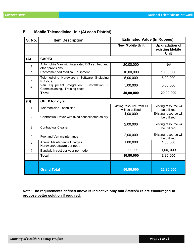F

| <b>S. No.</b>  | <b>Item Description</b>                                                       | <b>Estimated Value (In Rupees)</b>            |                                                   |  |
|----------------|-------------------------------------------------------------------------------|-----------------------------------------------|---------------------------------------------------|--|
|                |                                                                               | <b>New Mobile Unit</b>                        | Up gradation of<br>existing Mobile<br><b>Unit</b> |  |
| (A)            | <b>CAPEX</b>                                                                  |                                               |                                                   |  |
| 1              | Automobile Van with integrated DG set, bed and<br>other provisions            | 20,00,000                                     | N/A                                               |  |
| $\overline{2}$ | Recommended Medical Equipment                                                 | 10,00,000                                     | 10,00,000                                         |  |
| 3              | Telemedicine Hardware / Software (Including<br>PC etc.)                       | 5,00,000                                      | 5,00,000                                          |  |
| $\overline{4}$ | Installation &<br>Van Equipment integration,<br>Commissioning, Training costs | 5,00,000                                      | 5,00,000                                          |  |
|                | <b>Total</b>                                                                  | 40,00,000                                     | 20,00,000                                         |  |
| (B)            | OPEX for 2 yrs.                                                               |                                               |                                                   |  |
| 1              | <b>Telemedicine Technician</b>                                                | Existing resource from DH<br>will be utilized | Existing resource will<br>be utilized             |  |
| $\overline{2}$ | Contractual Driver with fixed consolidated salary                             | 4,00,000                                      | Existing resource will<br>be utilized             |  |
| 3              | <b>Contractual Cleaner</b>                                                    | 2,00,000                                      | Existing resource will<br>be utilized             |  |
| $\overline{4}$ | Fuel and Van maintenance                                                      | 2,00,000                                      | Existing resource will<br>be utilized             |  |
| 5              | Annual Maintenance Charges<br>Hardware/software per node                      | 1,80,000                                      | 1,80,000                                          |  |
| $6\phantom{1}$ | Bandwidth cost per year per node                                              | 1,00,000                                      | 1,00,000                                          |  |
|                | <b>Total</b>                                                                  | 10,80,000                                     | 2,80,000                                          |  |
|                |                                                                               |                                               |                                                   |  |
|                | <b>Grand Total</b>                                                            | 50,80,000                                     | 22,80,000                                         |  |

## B. Mobile Telemedicine Unit (At each District)

## Note: The requirements defined above is indicative only and States/UTs are encouraged to propose better solution if required.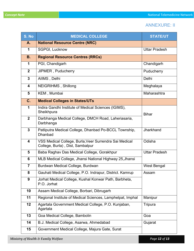## ANNEXURE: II

| S. No          | <b>MEDICAL COLLEGE</b>                                                                     | <b>STATE/UT</b>      |
|----------------|--------------------------------------------------------------------------------------------|----------------------|
| А.             | <b>National Resource Centre (NRC)</b>                                                      |                      |
| 1              | SGPGI, Lucknow                                                                             | <b>Uttar Pradesh</b> |
| <b>B.</b>      | <b>Regional Resource Centres (RRCs)</b>                                                    |                      |
| 1              | PGI, Chandigarh                                                                            | Chandigarh           |
| $\overline{2}$ | JIPMER, Puducherry                                                                         | Puducherry           |
| $\overline{3}$ | AllMS, Delhi                                                                               | Delhi                |
| 4              | <b>NEIGRIHMS, Shillong</b>                                                                 | Meghalaya            |
| 5              | KEM, Mumbai                                                                                | Maharashtra          |
| C.             | <b>Medical Colleges in States/UTs</b>                                                      |                      |
| 1              | Indira Gandhi Institute of Medical Sciences (IGIMS),<br>Sheikhpura                         |                      |
| $\overline{2}$ | Darbhanga Medical College, DMCH Road, Laheriasaria,                                        | <b>Bihar</b>         |
|                | Darbhanga                                                                                  |                      |
| $\overline{3}$ | Patliputra Medical College, Dhanbad Po-BCCL Township,<br><b>Dhanbad</b>                    | Jharkhand            |
| 4              | VSS Medical College, Burla, Veer Surrendra Sai Medical<br>College, Burla), Dist, Sambalpur | Odisha               |
| 5              | Baba Raghav Das Medical College, Gorakhpur                                                 | <b>Uttar Pradesh</b> |
| 6              | MLB Medical College, Jhansi National Highway 25, Jhansi                                    |                      |
| $\overline{7}$ | Burdwan Medical College, Burdwan                                                           | West Bengal          |
| 8              | Gauhati Medical College, P.O. Indrapur, District. Kamrup                                   | Assam                |
| 9              | Jorhat Medical College, Kushal Konwar Path, Barbheta,<br>P.O. Jorhat                       |                      |
| 10             | Assam Medical College, Borbari, Dibrugarh                                                  |                      |
| 11             | Regional Institute of Medical Sciences, Lamphelpat, Imphal                                 | Manipur              |
| 12             | Agartala Government Medical College, P.O. Kunjaban,<br>Agartala                            | Tripura              |
| 13             | Goa Medical College, Bambolin                                                              | Goa                  |
| 14             | B.J. Medical College, Asarwa, Ahmedabad                                                    | Gujarat              |
| 15             | Government Medical College, Majura Gate, Surat                                             |                      |